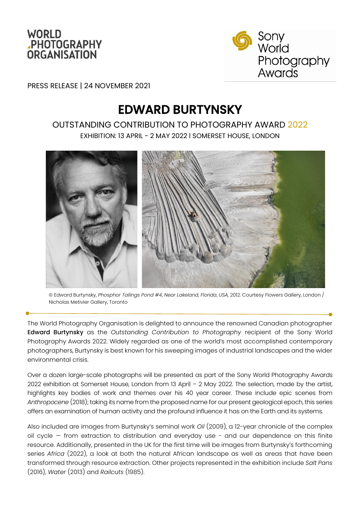



PRESS RELEASE | 24 NOVEMBER 2021

# EDWARD BURTYNSKY

## OUTSTANDING CONTRIBUTION TO PHOTOGRAPHY AWARD 2022 EXHIBITION: 13 APRIL - 2 MAY 2022 l SOMERSET HOUSE, LONDON



© Edward Burtynsky, *Phosphor Tailings Pond #4*, *Near Lakeland*, *Florida*, *USA,* 2012. Courtesy Flowers Gallery, London / Nicholas Metivier Gallery, Toronto

The World Photography Organisation is delighted to announce the renowned Canadian photographer Edward Burtynsky as the *Outstanding Contribution to Photography* recipient of the Sony World Photography Awards 2022. Widely regarded as one of the world's most accomplished contemporary photographers, Burtynsky is best known for his sweeping images of industrial landscapes and the wider environmental crisis.

Over a dozen large-scale photographs will be presented as part of the Sony World Photography Awards 2022 exhibition at Somerset House, London from 13 April – 2 May 2022. The selection, made by the artist, highlights key bodies of work and themes over his 40 year career. These include epic scenes from *Anthropocene* (2018); taking its name from the proposed name for our present geological epoch, this series offers an examination of human activity and the profound influence it has on the Earth and its systems.

Also included are images from Burtynsky's seminal work *Oil* (2009), a 12-year chronicle of the complex oil cycle  $-$  from extraction to distribution and everyday use  $-$  and our dependence on this finite resource. Additionally, presented in the UK for the first time will be images from Burtynsky's forthcoming series *Africa* (2022), a look at both the natural African landscape as well as areas that have been transformed through resource extraction. Other projects represented in the exhibition include *Salt Pans* (2016), *Water* (2013) and *Railcuts* (1985).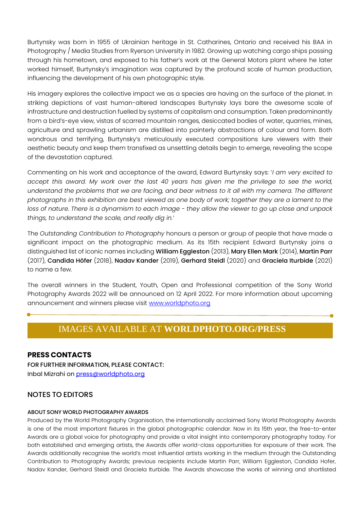Burtynsky was born in 1955 of Ukrainian heritage in St. Catharines, Ontario and received his BAA in Photography / Media Studies from Ryerson University in 1982. Growing up watching cargo ships passing through his hometown, and exposed to his father's work at the General Motors plant where he later worked himself, Burtynsky's imagination was captured by the profound scale of human production, influencing the development of his own photographic style.

His imagery explores the collective impact we as a species are having on the surface of the planet. In striking depictions of vast human-altered landscapes Burtynsky lays bare the awesome scale of infrastructure and destruction fuelled by systems of capitalism and consumption. Taken predominantly from a bird's-eye view, vistas of scarred mountain ranges, desiccated bodies of water, quarries, mines, agriculture and sprawling urbanism are distilled into painterly abstractions of colour and form. Both wondrous and terrifying, Burtynsky's meticulously executed compositions lure viewers with their aesthetic beauty and keep them transfixed as unsettling details begin to emerge, revealing the scope of the devastation captured.

Commenting on his work and acceptance of the award, Edward Burtynsky says: '*I am very excited to accept this award. My work over the last 40 years has given me the privilege to see the world, understand the problems that we are facing, and bear witness to it all with my camera. The different photographs in this exhibition are best viewed as one body of work; together they are a lament to the loss of nature. There is a dynamism to each image - they allow the viewer to go up close and unpack things, to understand the scale, and really dig in.*'

The *Outstanding Contribution to Photography* honours a person or group of people that have made a significant impact on the photographic medium. As its 15th recipient Edward Burtynsky joins a distinguished list of iconic names including William Eggleston (2013), Mary Ellen Mark (2014), Martin Parr (2017), Candida Höfer (2018), Nadav Kander (2019), Gerhard Steidl (2020) and Graciela Iturbide (2021) to name a few.

The overall winners in the Student, Youth, Open and Professional competition of the Sony World Photography Awards 2022 will be announced on 12 April 2022. For more information about upcoming announcement and winners please visit [www.worldphoto.org](http://www.worldphoto.org/)

# IMAGES AVAILABLE AT **WORLDPHOTO.ORG/PRESS**

#### **PRESS CONTACTS**

FOR FURTHER INFORMATION, PLEASE CONTACT:

Inbal Mizrahi on [press@worldphoto.org](mailto:press@worldphoto.org)

### NOTES TO EDITORS

#### ABOUT SONY WORLD PHOTOGRAPHY AWARDS

Produced by the World Photography Organisation, the internationally acclaimed Sony World Photography Awards is one of the most important fixtures in the global photographic calendar. Now in its 15th year, the free-to-enter Awards are a global voice for photography and provide a vital insight into contemporary photography today. For both established and emerging artists, the Awards offer world-class opportunities for exposure of their work. The Awards additionally recognise the world's most influential artists working in the medium through the Outstanding Contribution to Photography Awards; previous recipients include Martin Parr, William Eggleston, Candida Hofer, Nadav Kander, Gerhard Steidl and Graciela Iturbide. The Awards showcase the works of winning and shortlisted